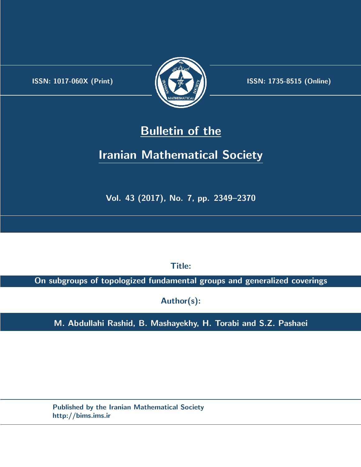.



**ISSN:** 1017-060X (Print)  $\left(\frac{1}{2}\right)$   $\frac{1}{2}$   $\frac{1}{2}$   $\frac{1}{2}$  **ISSN:** 1735-8515 (Online)

# **Bulletin of the**

# **Iranian Mathematical Society**

**Vol. 43 (2017), No. 7, pp. 2349–2370**

**Title:**

**On subgroups of topologized fundamental groups and generalized coverings**

**Author(s):**

**M. Abdullahi Rashid, B. Mashayekhy, H. Torabi and S.Z. Pashaei**

**Published by the Iranian Mathematical Society http://bims.ims.ir**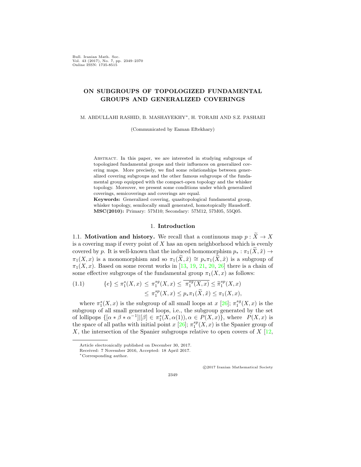Bull. Iranian Math. Soc. Vol. 43 (2017), No. 7, pp. 2349–2370 Online ISSN: 1735-8515

## **ON SUBGROUPS OF TOPOLOGIZED FUNDAMENTAL GROUPS AND GENERALIZED COVERINGS**

M. ABDULLAHI RASHID, B. MASHAYEKHY*∗*, H. TORABI AND S.Z. PASHAEI

(Communicated by Eaman Eftekhary)

Abstract. In this paper, we are interested in studying subgroups of topologized fundamental groups and their influences on generalized covering maps. More precisely, we find some relationships between generalized covering subgroups and the other famous subgroups of the fundamental group equipped with the compact-open topology and the whisker topology. Moreover, we present some conditions under which generalized coverings, semicoverings and coverings are equal.

**Keywords:** Generalized covering, quasitopological fundamental group, whisker topology, semilocally small generated, homotopically Hausdorff. **MSC(2010):** Primary: 57M10; Secondary: 57M12, 57M05, 55Q05.

#### 1. **Introduction**

1.1. **Motivation and history.** We recall that a continuous map  $p : \widetilde{X} \to X$ is a covering map if every point of *X* has an open neighborhood which is evenly covered by *p*. It is well-known that the induced homomorphism  $p_* : \pi_1(\tilde{X}, \tilde{x}) \to$  $\pi_1(X, x)$  is a monomorphism and so  $\pi_1(X, \tilde{x}) \cong p_* \pi_1(X, \tilde{x})$  is a subgroup of  $\pi_1(X, x)$ . Based on some recent works in [\[13](#page-21-0), [19](#page-21-1), [21,](#page-22-0) [20,](#page-22-1) [26\]](#page-22-2) there is a chain of some effective subgroups of the fundamental group  $\pi_1(X, x)$  as follows:

<span id="page-1-0"></span>(1.1) 
$$
\{e\} \leq \pi_1^s(X, x) \leq \pi_1^{sg}(X, x) \leq \overline{\pi_1^{sg}(X, x)} \leq \tilde{\pi}_1^{sp}(X, x) \leq \pi_1^{sp}(X, x) \leq p_* \pi_1(\tilde{X}, \tilde{x}) \leq \pi_1(X, x),
$$

where  $\pi_1^s(X, x)$  is the subgroup of all small loops at  $x$  [\[26](#page-22-2)];  $\pi_1^{sg}(X, x)$  is the subgroup of all small generated loops, i.e., the subgroup generated by the set of lollipops  $\{[\alpha * \beta * \alpha^{-1}][\beta] \in \pi_1^s(X, \alpha(1)), \alpha \in P(X, x)\},\$  where  $P(X, x)$  is the space of all paths with initial point  $x$  [[26\]](#page-22-2);  $\pi_1^{sp}(X, x)$  is the Spanier group of *X*, the intersection of the Spanier subgroups relative to open covers of *X* [\[12](#page-21-2),

*⃝*c 2017 Iranian Mathematical Society

Article electronically published on December 30, 2017.

Received: 7 November 2016, Accepted: 18 April 2017.

*<sup>∗</sup>*Corresponding author.

<sup>2349</sup>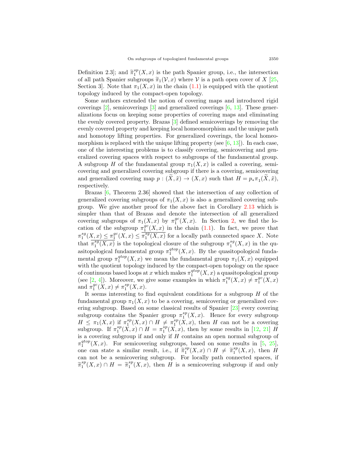Definition 2.3]; and  $\tilde{\pi}_1^{sp}(X, x)$  is the path Spanier group, i.e., the intersection of all path Spanier subgroups  $\widetilde{\pi}_1(\mathcal{V},x)$  where  $\mathcal V$  is a path open cover of *X* [[25](#page-22-3), Section 3. Note that  $\pi_1(X, x)$  in the chain  $(1.1)$  $(1.1)$  is equipped with the quotient topology induced by the compact-open topology.

Some authors extended the notion of covering maps and introduced rigid coverings  $\boxed{2}$ , semicoverings  $\boxed{3}$  and generalized coverings  $\boxed{6}$ ,  $\boxed{13}$  $\boxed{13}$  $\boxed{13}$ . These generalizations focus on keeping some properties of covering maps and eliminating the evenly covered property. Brazas [\[3](#page-21-4)] defined semicoverings by removing the evenly covered property and keeping local homeomorphism and the unique path and homotopy lifting properties. For generalized coverings, the local homeomorphism is replaced with the unique lifting property (see  $[6, 13]$  $[6, 13]$  $[6, 13]$  $[6, 13]$  $[6, 13]$ ). In each case, one of the interesting problems is to classify covering, semicovering and generalized covering spaces with respect to subgroups of the fundamental group. A subgroup *H* of the fundamental group  $\pi_1(X, x)$  is called a covering, semicovering and generalized covering subgroup if there is a covering, semicovering and generalized covering map  $p : (X, \tilde{x}) \to (X, x)$  such that  $H = p_* \pi_1(X, \tilde{x})$ , respectively.

Brazas [[6](#page-21-5), Theorem 2.36] showed that the intersection of any collection of generalized covering subgroups of  $\pi_1(X, x)$  is also a generalized covering subgroup. We give another proof for the above fact in Corollary [2.13](#page-9-0) which is simpler than that of Brazas and denote the intersection of all generalized covering subgroups of  $\pi_1(X, x)$  by  $\pi_1^{gc}(X, x)$ . In Section [2](#page-5-0), we find the location of the subgroup  $\pi_1^{gc}(X,x)$  in the chain ([1.1](#page-1-0)). In fact, we prove that  $\pi_1^{sg}(X, x) \leq \pi_1^{gc}(X, x) \leq \overline{\pi_1^{sg}(X, x)}$  for a locally path connected space *X*. Note that  $\overline{\pi_1^{sg}(X,x)}$  is the topological closure of the subgroup  $\pi_1^{sg}(X,x)$  in the quasitopological fundamental group  $\pi_1^{qtop}(X, x)$ . By the quasitopological fundamental group  $\pi_1^{qtop}(X, x)$  we mean the fundamental group  $\pi_1(X, x)$  equipped with the quotient topology induced by the compact-open topology on the space of continuous based loops at x which makes  $\pi_1^{qtop}(X,x)$  a quasitopological group (see [\[2](#page-21-3), [4](#page-21-6)]). Moreover, we give some examples in which  $\pi_1^{sg}(X,x) \neq \pi_1^{gc}(X,x)$ and  $\pi_1^{gc}(X, x) \neq \pi_1^{sp}(X, x)$ .

It seems interesting to find equivalent conditions for a subgroup *H* of the fundamental group  $\pi_1(X, x)$  to be a covering, semicovering or generalized covering subgroup. Based on some classical results of Spanier [[23\]](#page-22-4) every covering subgroup contains the Spanier group  $\pi_1^{sp}(X,x)$ . Hence for every subgroup  $H \leq \pi_1(X,x)$  if  $\pi_1^{sp}(X,x) \cap H \neq \pi_1^{sp}(X,x)$ , then *H* can not be a covering subgroup. If  $\pi_1^{sp}(X, x) \cap H = \pi_1^{sp}(X, x)$ , then by some results in [\[12](#page-21-2), [21](#page-22-0)] *H* is a covering subgroup if and only if *H* contains an open normal subgroup of  $\pi_1^{qtop}(X,x)$ . For semicovering subgroups, based on some results in [[5](#page-21-7), [25\]](#page-22-3), one can state a similar result, i.e., if  $\tilde{\pi}_1^{sp}(X, x) \cap H \neq \tilde{\pi}_1^{sp}(X, x)$ , then *H* can not be a semicovering subgroup. For locally path connected spaces, if  $\widetilde{\pi}_1^{sp}(X, x) \cap H = \widetilde{\pi}_1^{sp}(X, x)$ , then *H* is a semicovering subgroup if and only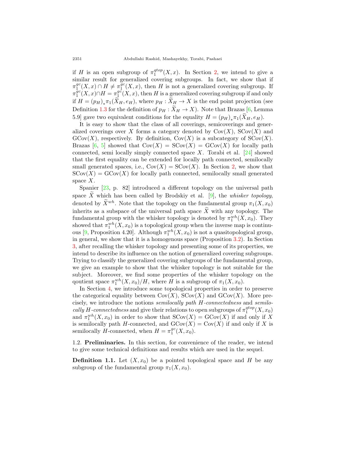if *H* is an open subgroup of  $\pi_1^{qtop}(X, x)$ . In Section [2](#page-5-0), we intend to give a similar result for generalized covering subgroups. In fact, we show that if  $\pi_1^{gc}(X,x) \cap H \neq \pi_1^{\overline{gc}}(X,x)$ , then *H* is not a generalized covering subgroup. If  $\pi_1^{gc}(X,x) \cap H = \pi_1^{gc}(X,x)$ , then *H* is a generalized covering subgroup if and only if  $H = (p_H)_*\pi_1(X_H, e_H)$ , where  $p_H : X_H \to X$  is the end point projection (see Definition [1.3](#page-4-0) for the definition of  $p_H : X_H \to X$ ). Note that Brazas [\[6](#page-21-5), Lemma 5.9] gave two equivalent conditions for the equality  $H = (p_H)_* \pi_1(X_H, e_H)$ .

It is easy to show that the class of all coverings, semicoverings and generalized coverings over *X* forms a category denoted by  $Cov(X)$ ,  $SCov(X)$  and  $G\text{Cov}(X)$ , respectively. By definition,  $Cov(X)$  is a subcategory of  $S\text{Cov}(X)$ . Brazas [\[6](#page-21-5), [5](#page-21-7)] showed that  $Cov(X) = SCov(X) = GCov(X)$  for locally path connected, semi locally simply connected space *X*. Torabi et al. [[24\]](#page-22-5) showed that the first equality can be extended for locally path connected, semilocally small generated spaces, i.e.,  $Cov(X) = SCov(X)$ . In Section [2](#page-5-0), we show that  $SCov(X) = GCov(X)$  for locally path connected, semilocally small generated space *X*.

Spanier [[23,](#page-22-4) p. 82] introduced a different topology on the universal path space *X* which has been called by Brodskiy et al.  $[9]$  $[9]$ , the *whisker topology*, denoted by  $\widetilde{X}^{wh}$ . Note that the topology on the fundamental group  $\pi_1(X, x_0)$ inherits as a subspace of the universal path space  $\widetilde{X}$  with any topology. The fundamental group with the whisker topology is denoted by  $\pi_1^{wh}(X, x_0)$ . They showed that  $\pi_1^{wh}(X, x_0)$  is a topological group when the inverse map is continu-ous [[9](#page-21-8), Proposition 4.20]. Although  $\pi_1^{wh}(X, x_0)$  is not a quasitopological group, in general, we show that it is a homogenous space (Proposition [3.2\)](#page-13-0). In Section [3](#page-12-0), after recalling the whisker topology and presenting some of its properties, we intend to describe its influence on the notion of generalized covering subgroups. Trying to classify the generalized covering subgroups of the fundamental group, we give an example to show that the whisker topology is not suitable for the subject. Moreover, we find some properties of the whisker topology on the qoutient space  $\pi_1^{wh}(X, x_0)/H$ , where *H* is a subgroup of  $\pi_1(X, x_0)$ .

In Section [4,](#page-18-0) we introduce some topological properties in order to preserve the categorical equality between  $Cov(X)$ ,  $SCov(X)$  and  $GCov(X)$ . More precisely, we introduce the notions *semilocally path H-connectedness* and *semilo-* $\textit{cally } H\textit{-connectedness}$  and give their relations to open subgroups of  $\pi_1^{qtop}(X, x_0)$ and  $\pi_1^{wh}(X, x_0)$  in order to show that  $SCov(X) = GCov(X)$  if and only if X is semilocally path *H*-connected, and  $GCov(X) = Cov(X)$  if and only if *X* is semilocally *H*-connected, when  $H = \pi_1^{gc}(X, x_0)$ .

1.2. **Preliminaries.** In this section, for convenience of the reader, we intend to give some technical definitions and results which are used in the sequel.

**Definition 1.1.** Let  $(X, x_0)$  be a pointed topological space and *H* be any subgroup of the fundamental group  $\pi_1(X, x_0)$ .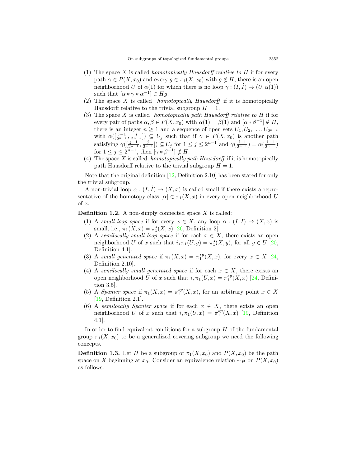- (1) The space *X* is called *homotopically Hausdorff relative to H* if for every path  $\alpha \in P(X, x_0)$  and every  $g \in \pi_1(X, x_0)$  with  $g \notin H$ , there is an open neighborhood *U* of  $\alpha(1)$  for which there is no loop  $\gamma: (I, I) \to (U, \alpha(1))$ such that  $[\alpha * \gamma * \alpha^{-1}] \in Hg$ .
- (2) The space *X* is called *homotopically Hausdorff* if it is homotopically Hausdorff relative to the trivial subgroup  $H = 1$ .
- (3) The space *X* is called *homotopically path Hausdorff relative to H* if for every pair of paths  $\alpha, \beta \in P(X, x_0)$  with  $\alpha(1) = \beta(1)$  and  $[\alpha * \beta^{-1}] \notin H$ , there is an integer  $n \geq 1$  and a sequence of open sets  $U_1, U_2, \ldots, U_{2^{n-1}}$ with  $\alpha([\frac{j-1}{2^{n-1}}, \frac{j}{2^{n-1}}]) \subseteq U_j$  such that if  $\gamma \in P(X, x_0)$  is another path satisfying  $\gamma(\left[\frac{j-1}{2^{n-1}}, \frac{j}{2^{n-1}}\right]) \subseteq U_j$  for  $1 \leq j \leq 2^{n-1}$  and  $\gamma(\frac{j-1}{2^{n-1}}) = \alpha(\frac{j-1}{2^{n-1}})$ for  $1 \leq j \leq 2^{n-1}$ , then  $[\gamma * \beta^{-1}] \notin H$ .
- (4) The space *X* is called *homotopically path Hausdorff* if it is homotopically path Hausdorff relative to the trivial subgroup  $H = 1$ .

Note that the original definition  $[12,$  $[12,$  Definition 2.10 has been stated for only the trivial subgroup.

A non-trivial loop  $\alpha : (I, I) \to (X, x)$  is called small if there exists a representative of the homotopy class  $[\alpha] \in \pi_1(X, x)$  in every open neighborhood *U* of *x*.

**Definition 1.2.** A non-simply connected space *X* is called:

- (1) A *small loop space* if for every  $x \in X$ , any loop  $\alpha : (I, I) \to (X, x)$  is small, i.e.,  $\pi_1(X, x) = \pi_1^s(X, x)$  [[26,](#page-22-2) Definition 2].
- (2) A *semilocally small loop space* if for each  $x \in X$ , there exists an open neighborhood *U* of *x* such that  $i_*\pi_1(U, y) = \pi_1^s(X, y)$ , for all  $y \in U$  [[20](#page-22-1), Definition 4.1].
- (3) A *small generated space* if  $\pi_1(X, x) = \pi_1^{sg}(X, x)$ , for every  $x \in X$  [[24](#page-22-5), Definition 2.10].
- (4) A *semilocally small generated space* if for each  $x \in X$ , there exists an open neighborhood *U* of *x* such that  $i_*\pi_1(U, x) = \pi_1^{sg}(X, x)$  [[24,](#page-22-5) Definition 3.5].
- (5) A *Spanier space* if  $\pi_1(X, x) = \pi_1^{sp}(X, x)$ , for an arbitrary point  $x \in X$ [[19](#page-21-1), Definition 2.1].
- (6) A *semilocally Spanier space* if for each  $x \in X$ , there exists an open neighborhood *U* of *x* such that  $i_*\pi_1(U,x) = \pi_1^{sp}(X,x)$  [[19,](#page-21-1) Definition 4.1].

In order to find equivalent conditions for a subgroup *H* of the fundamental group  $\pi_1(X, x_0)$  to be a generalized covering subgroup we need the following concepts.

<span id="page-4-0"></span>**Definition 1.3.** Let *H* be a subgroup of  $\pi_1(X, x_0)$  and  $P(X, x_0)$  be the path space on *X* beginning at *x*<sub>0</sub>. Consider an equivalence relation  $\sim$ *H* on  $P(X, x_0)$ as follows.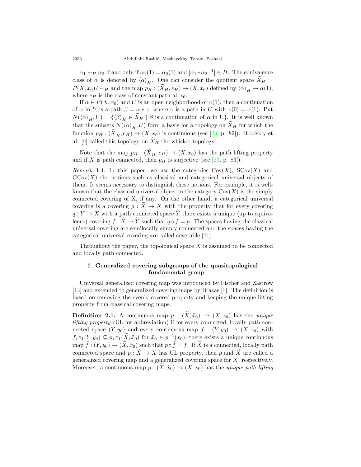$\alpha_1 \sim_H \alpha_2$  if and only if  $\alpha_1(1) = \alpha_2(1)$  and  $[\alpha_1 * \alpha_2^{-1}] \in H$ . The equivalence class of *α* is denoted by  $\langle \alpha \rangle_H$ . One can consider the quotient space  $\tilde{X}_H$  =  $P(X, x_0) / \sim_H$  and the map  $p_H : (\widetilde{X}_H, e_H) \to (X, x_0)$  defined by  $\langle \alpha \rangle_H \mapsto \alpha(1)$ , where  $e_H$  is the class of constant path at  $x_0$ .

If  $\alpha \in P(X, x_0)$  and *U* is an open neighborhood of  $\alpha(1)$ , then a continuation of  $\alpha$  in *U* is a path  $\beta = \alpha * \gamma$ , where  $\gamma$  is a path in *U* with  $\gamma(0) = \alpha(1)$ . Put  $N(\langle \alpha \rangle_H, U) = {\langle \beta \rangle_H \in \widetilde{X}_H \mid \beta \text{ is a continuation of } \alpha \text{ in } U}.$  It is well known that the subsets  $N(\langle \alpha \rangle_H, U)$  form a basis for a topology on  $X_H$  for which the function  $p_H: (X_H, e_H) \to (X, x_0)$  is continuous (see [\[23](#page-22-4), p. 82]). Brodskiy et al.  $[9]$  $[9]$  called this topology on  $\tilde{X}_H$  the whisker topology.

Note that the map  $p_H$  :  $(X_H, e_H) \rightarrow (X, x_0)$  has the path lifting property and if *X* is path connected, then  $p<sub>H</sub>$  is surjective (see [\[23](#page-22-4), p. 83]).

<span id="page-5-1"></span>*Remark* 1.4. In this paper, we use the categories  $Cov(X)$ ,  $SCov(X)$  and  $G\text{Cov}(X)$  the notions such as classical and categorical universal objects of them. It seems necessary to distinguish these notions. For example, it is wellknown that the classical universal object in the category  $Cov(X)$  is the simply connected covering of X, if any. On the other hand, a categorical universal covering is a covering  $p: X \to X$  with the property that for every covering  $q: \widetilde{Y} \to X$  with a path connected space  $\widetilde{Y}$  there exists a unique (up to equivalence) covering  $f : \widetilde{X} \to \widetilde{Y}$  such that  $q \circ f = p$ . The spaces having the classical universal covering are semilocally simply connected and the spaces having the categorical universal covering are called coverable [[21](#page-22-0)].

Throughout the paper, the topological space *X* is assumed to be connected and locally path connected.

## <span id="page-5-0"></span>2. **Generalized covering subgroups of the quasitopological fundamental group**

Universal generalized covering map was introduced by Fischer and Zastrow [[13\]](#page-21-0) and extended to generalized covering maps by Brazas [[6\]](#page-21-5). The definition is based on removing the evenly covered property and keeping the unique lifting property from classical covering maps.

<span id="page-5-2"></span>**Definition 2.1.** A continuous map  $p : (\tilde{X}, \tilde{x}_0) \rightarrow (X, x_0)$  has the *unique lifting property* (UL for abbreviation) if for every connected, locally path connected space  $(Y, y_0)$  and every continuous map  $f : (Y, y_0) \rightarrow (X, x_0)$  with  $f_*\pi_1(Y, y_0) \subseteq p_*\pi_1(\tilde{X}, \tilde{x}_0)$  for  $\tilde{x}_0 \in p^{-1}(x_0)$ , there exists a unique continuous  $\text{map } \tilde{f} : (Y, y_0) \to (\tilde{X}, \tilde{x}_0)$  such that  $p \circ \tilde{f} = f$ . If  $\tilde{X}$  is a connected, locally path connected space and  $p : \tilde{X} \to X$  has UL property, then *p* and  $\tilde{X}$  are called a generalized covering map and a generalized covering space for *X*, respectively. Moreover, a continuous map  $p : (\tilde{X}, \tilde{x}_0) \to (X, x_0)$  has the *unique path lifting*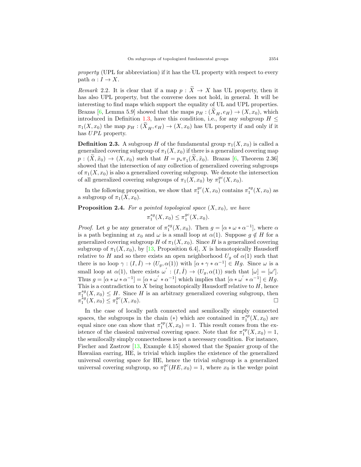*property* (UPL for abbreviation) if it has the UL property with respect to every path  $\alpha: I \to X$ .

<span id="page-6-1"></span>*Remark* 2.2. It is clear that if a map  $p : \widetilde{X} \to X$  has UL property, then it has also UPL property, but the converse does not hold, in general. It will be interesting to find maps which support the equality of UL and UPL properties. Brazas [[6](#page-21-5), Lemma 5.9] showed that the maps  $p_H$  :  $(X_H, e_H) \to (X, x_0)$ , which introduced in Definition [1.3,](#page-4-0) have this condition, i.e., for any subgroup  $H \leq$  $\pi_1(X, x_0)$  the map  $p_H : (X_H, e_H) \to (X, x_0)$  has UL property if and only if it has *UPL* property.

**Definition 2.3.** A subgroup *H* of the fundamental group  $\pi_1(X, x_0)$  is called a generalized covering subgroup of  $\pi_1(X, x_0)$  if there is a generalized covering map  $p: (X, \tilde{x}_0) \to (X, x_0)$  such that  $H = p_* \pi_1(X, \tilde{x}_0)$ . Brazas [[6,](#page-21-5) Theorem 2.36] showed that the intersection of any collection of generalized covering subgroups of  $\pi_1(X, x_0)$  is also a generalized covering subgroup. We denote the intersection of all generalized covering subgroups of  $\pi_1(X, x_0)$  by  $\pi_1^{gc}(X, x_0)$ .

In the following proposition, we show that  $\pi_1^{gc}(X, x_0)$  contains  $\pi_1^{sg}(X, x_0)$  as a subgroup of  $\pi_1(X, x_0)$ .

### <span id="page-6-0"></span>**Proposition 2.4.** For a pointed topological space  $(X, x_0)$ , we have

$$
\pi_1^{sg}(X, x_0) \le \pi_1^{gc}(X, x_0).
$$

*Proof.* Let *g* be any generator of  $\pi_1^{sg}(X, x_0)$ . Then  $g = [\alpha * \omega * \alpha^{-1}]$ , where  $\alpha$ is a path beginning at  $x_0$  and  $\omega$  is a small loop at  $\alpha(1)$ . Suppose  $g \notin H$  for a generalized covering subgroup *H* of  $\pi_1(X, x_0)$ . Since *H* is a generalized covering subgroup of  $\pi_1(X, x_0)$ , by [[13,](#page-21-0) Proposition 6.4], *X* is homotopically Hausdorff relative to *H* and so there exists an open neighborhood  $U_g$  of  $\alpha(1)$  such that there is no loop  $\gamma : (I, I) \to (U_g, \alpha(1))$  with  $[\alpha * \gamma * \alpha^{-1}] \in Hg$ . Since  $\omega$  is a small loop at  $\alpha(1)$ , there exists  $\omega' : (I, I) \to (U_g, \alpha(1))$  such that  $[\omega] = [\omega']$ . Thus  $g = [\alpha * \omega * \alpha^{-1}] = [\alpha * \omega' * \alpha^{-1}]$  which implies that  $[\alpha * \omega' * \alpha^{-1}] \in Hg$ . This is a contradiction to  $X$  being homotopically Hausdorff relative to  $H$ , hence  $\pi_1^{sg}(X, x_0) \leq H$ . Since *H* is an arbitrary generalized covering subgroup, then  $\pi_1^{sg}(X, x_0) \leq \pi_1^{gc}(X, x_0).$ 

In the case of locally path connected and semilocally simply connected spaces, the subgroups in the chain (\*) which are contained in  $\pi_1^{sp}(X, x_0)$  are equal since one can show that  $\pi_1^{sp}(X, x_0) = 1$ . This result comes from the existence of the classical universal covering space. Note that for  $\pi_1^{sp}(X, x_0) = 1$ , the semilocally simply connectedness is not a necessary condition. For instance, Fischer and Zastrow [\[13](#page-21-0), Example 4.15] showed that the Spanier group of the Hawaiian earring, HE, is trivial which implies the existence of the generalized universal covering space for HE, hence the trivial subgroup is a generalized universal covering subgroup, so  $\pi_1^{gc}(HE, x_0) = 1$ , where  $x_0$  is the wedge point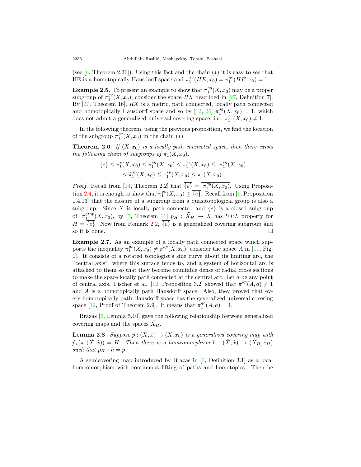(see [[6,](#page-21-5) Theorem 2.36]). Using this fact and the chain (*∗*) it is easy to see that HE is a homotopically Hausdorff space and  $\pi_1^{sg}(HE, x_0) = \pi_1^{gc}(HE, x_0) = 1$ .

**Example 2.5.** To present an example to show that  $\pi_1^{sg}(X, x_0)$  may be a proper subgroup of  $\pi_1^{gc}(X,x_0)$ , consider the space  $RX$  described in [\[27](#page-22-6), Definition 7]. By [[27,](#page-22-6) Theorem 16], *RX* is a metric, path connected, locally path connected and homotopically Hausdorff space and so by  $[12, 26]$  $[12, 26]$  $[12, 26]$  $[12, 26]$   $\pi_1^{sg}(X, x_0) = 1$ , which does not admit a generalized universal covering space, i.e.,  $\pi_1^{gc}(X, x_0) \neq 1$ .

In the following theorem, using the previous proposition, we find the location of the subgroup  $\pi_1^{gc}(X, x_0)$  in the chain (\*).

**Theorem 2.6.** *If*  $(X, x_0)$  *is a locally path connected space, then there exists the following chain of subgroups of*  $\pi_1(X, x_0)$ *.* 

$$
\{e\} \le \pi_1^s(X, x_0) \le \pi_1^{sg}(X, x_0) \le \pi_1^{gc}(X, x_0) \le \overline{\pi_1^{sg}(X, x_0)}
$$
  

$$
\le \widetilde{\pi}_1^{sp}(X, x_0) \le \pi_1^{sp}(X, x_0) \le \pi_1(X, x_0).
$$

*Proof.* Recall from [\[24](#page-22-5), Theorem 2.2] that  $\overline{\{e\}} = \overline{\pi_1^{sg}(X, x_0)}$ . Using Proposi-tion [2.4](#page-6-0), it is enough to show that  $\pi_1^{gc}(X, x_0) \leq \overline{\{e\}}$  $\pi_1^{gc}(X, x_0) \leq \overline{\{e\}}$  $\pi_1^{gc}(X, x_0) \leq \overline{\{e\}}$ . Recall from [1, Proposition 1.4.13] that the closure of a subgroup from a quasitopological group is also a subgroup. Since X is locally path connected and  $\{e\}$  is a closed subgroup of  $\pi_1^{qtop}(X, x_0)$ , by [[7,](#page-21-10) Theorem 11]  $p_H : \widetilde{X}_H \to X$  has  $UPL$  property for  $H = \{e\}$ . Now from Remark [2.2,](#page-6-1)  $\{e\}$  is a generalized covering subgroup and so it is done.  $\Box$ 

**Example 2.7.** As an example of a locally path connected space which supports the inequality  $\pi_1^{gc}(X, x_0) \neq \pi_1^{sp}(X, x_0)$ , consider the space *A* in [\[11](#page-21-11), Fig. 1]. It consists of a rotated topologist's sine curve about its limiting arc, the "central axis", where this surface tends to, and a system of horizontal arc is attached to them so that they become countable dense of radial cross sections to make the space locally path connected at the central arc. Let *a* be any point of central axis. Fischer et al. [\[12](#page-21-2), Proposition 3.2] showed that  $\pi_1^{sp}(A,a) \neq 1$ and *A* is a homotopically path Hausdorff space. Also, they proved that every homotopically path Hausdorff space has the generalized universal covering space [\[12](#page-21-2), Proof of Theorem 2.9]. It means that  $\pi_1^{gc}(A,a) = 1$ .

Brazas [\[6](#page-21-5), Lemma 5.10] gave the following relationship between generalized covering maps and the spaces  $X_H$ .

**Lemma 2.8.** *Suppose*  $\hat{p}: (\hat{X}, \hat{x}) \rightarrow (X, x_0)$  *is a generalized covering map with*  $\hat{p}_*(\pi_1(\hat{X}, \hat{x})) = H$ *. Then there is a homeomorphism*  $h : (\hat{X}, \hat{x}) \to (\hat{X}_H, e_H)$ *such that*  $p_H \circ h = \hat{p}$ *.* 

A semicovering map introduced by Brazas in [\[3](#page-21-4), Definition 3.1] as a local homeomorphism with continuous lifting of paths and homotopies. Then he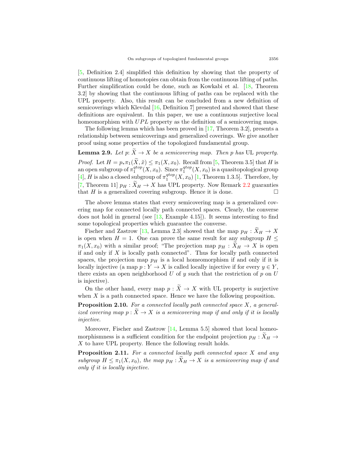[[5,](#page-21-7) Definition 2.4] simplified this definition by showing that the property of continuous lifting of homotopies can obtain from the continuous lifting of paths. Further simplification could be done, such as Kowkabi et al. [[18,](#page-21-12) Theorem 3.2] by showing that the continuous lifting of paths can be replaced with the UPL property. Also, this result can be concluded from a new definition of semicoverings which Klevdal [[16,](#page-21-13) Definition 7] presented and showed that these definitions are equivalent. In this paper, we use a continuous surjective local homeomorphism with *UPL* property as the definition of a semicovering maps.

The following lemma which has been proved in [[17,](#page-21-14) Theorem 3.2], presents a relationship between semicoverings and generalized coverings. We give another proof using some properties of the topologized fundamental group.

<span id="page-8-0"></span>**Lemma 2.9.** *Let p*:  $\widetilde{X} \to X$  *be a semicovering map. Then p has* UL *property. Proof.* Let  $H = p_* \pi_1(\widetilde{X}, \widetilde{x}) \leq \pi_1(X, x_0)$ . Recall from [[5,](#page-21-7) Theorem 3.5] that *H* is an open subgroup of  $\pi_1^{qtop}(X, x_0)$ . Since  $\pi_1^{qtop}(X, x_0)$  is a quasitopological group [[4\]](#page-21-6), *H* is also a closed subgroup of  $\pi_1^{stop}(X, x_0)$  [\[1](#page-21-9), Theorem 1.3.5]. Therefore, by [[7,](#page-21-10) Theorem 11]  $p_H : \widetilde{X}_H \to X$  has UPL property. Now Remark [2.2](#page-6-1) guaranties that *H* is a generalized covering subgroup. Hence it is done. that  $H$  is a generalized covering subgroup. Hence it is done.

The above lemma states that every semicovering map is a generalized covering map for connected locally path connected spaces. Clearly, the converse does not hold in general (see  $[13, \text{Example } 4.15]$  $[13, \text{Example } 4.15]$ ). It seems interesting to find some topological properties which guarantee the converse.

Fischer and Zastrow [[13,](#page-21-0) Lemma 2.3] showed that the map  $p_H : \tilde{X}_H \to X$ is open when  $H = 1$ . One can prove the same result for any subgroup  $H \leq$  $\pi_1(X, x_0)$  with a similar proof; "The projection map  $p_H : \widetilde{X}_H \to X$  is open if and only if *X* is locally path connected". Thus for locally path connected spaces, the projection map  $p<sub>H</sub>$  is a local homeomorphism if and only if it is locally injective (a map  $p: Y \to X$  is called locally injective if for every  $y \in Y$ , there exists an open neighborhood  $U$  of  $y$  such that the restriction of  $p$  on  $U$ is injective).

On the other hand, every map  $p : \tilde{X} \to X$  with UL property is surjective when  $X$  is a path connected space. Hence we have the following proposition.

**Proposition 2.10.** *For a connected locally path connected space X, a generalized covering map*  $p : \widetilde{X} \to X$  *is a semicovering map if and only if it is locally injective.*

Moreover, Fischer and Zastrow [[14](#page-21-15), Lemma 5.5] showed that local homeomorphismness is a sufficient condition for the endpoint projection  $p_H : X_H \rightarrow$ *X* to have UPL property. Hence the following result holds.

**Proposition 2.11.** *For a connected locally path connected space X and any subgroup*  $H \leq \pi_1(X, x_0)$ , the map  $p_H : \widetilde{X}_H \to X$  is a semicovering map if and *only if it is locally injective.*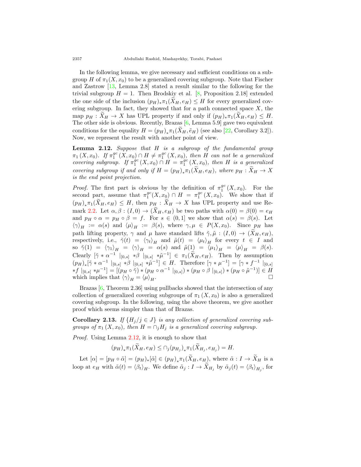In the following lemma, we give necessary and sufficient conditions on a subgroup *H* of  $\pi_1(X, x_0)$  to be a generalized covering subgroup. Note that Fischer and Zastrow [[13,](#page-21-0) Lemma 2.8] stated a result similar to the following for the trivial subgroup  $H = 1$ . Then Brodskiy et al. [\[8](#page-21-16), Proposition 2.18] extended the one side of the inclusion  $(p_H)_*\pi_1(X_H, e_H) \leq H$  for every generalized covering subgroup. In fact, they showed that for a path connected space  $X$ , the map  $p_H : \tilde{X}_H \to X$  has UPL property if and only if  $(p_H)_*\pi_1(\tilde{X}_H, e_H) \leq H$ . The other side is obvious. Recently, Brazas [[6,](#page-21-5) Lemma 5.9] gave two equivalent conditions for the equality  $H = (p_H)_*\pi_1(X_H, \tilde{e}_H)$  (see also [[22,](#page-22-7) Corollary 3.2]). Now, we represent the result with another point of view.

<span id="page-9-1"></span>**Lemma 2.12.** *Suppose that H is a subgroup of the fundamental group*  $\pi_1(X, x_0)$ *.* If  $\pi_1^{gc}(X, x_0) \cap H \neq \pi_1^{gc}(X, x_0)$ , then *H* can not be a generalized *covering subgroup.* If  $\pi_1^{gc}(X,x_0) \cap H = \pi_1^{gc}(X,x_0)$ , then *H* is a generalized *covering subgroup if and only if*  $H = (p_H)_*\pi_1(X_H, e_H)$ *, where*  $p_H : X_H \to X$ *is the end point projection.*

*Proof.* The first part is obvious by the definition of  $\pi_1^{gc}(X, x_0)$ . For the second part, assume that  $\pi_1^{gc}(X, x_0) \cap H = \pi_1^{gc}(X, x_0)$ . We show that if  $(p_H)_*\pi_1(X_H, e_H) \leq H$ , then  $p_H: X_H \to X$  has UPL property and use Re-mark [2.2.](#page-6-1) Let  $\alpha, \beta : (I, 0) \to (\widetilde{X}_H, e_H)$  be two paths with  $\alpha(0) = \beta(0) = e_H$ and  $p_H \circ \alpha = p_H \circ \beta = f$ . For  $s \in (0,1]$  we show that  $\alpha(s) = \beta(s)$ . Let  $\langle \gamma \rangle_H := \alpha(s)$  and  $\langle \mu \rangle_H := \beta(s)$ , where  $\gamma, \mu \in P(X, x_0)$ . Since  $p_H$  has path lifting property,  $\gamma$  and  $\mu$  have standard lifts  $\tilde{\gamma}, \tilde{\mu} : (I,0) \to (X_H, e_H)$ , respectively, i.e.,  $\tilde{\gamma}(t) = \langle \gamma_t \rangle_H$  and  $\tilde{\mu}(t) = \langle \mu_t \rangle_H$  for every  $t \in I$  and  $\delta \rho \delta \gamma(1) = \langle \gamma_1 \rangle_H = \langle \gamma \rangle_H = \alpha(s) \text{ and } \tilde{\mu}(1) = \langle \mu_1 \rangle_H = \langle \mu \rangle_H = \beta(s).$ Clearly  $[\tilde{\gamma} * \alpha^{-1}]_{[0,s]} * \beta]_{[0,s]} * \tilde{\mu}^{-1}] \in \pi_1(\tilde{X}_H, e_H)$ . Then by assumption  $(p_H)_*[\tilde{\gamma} * \alpha^{-1} |_{[0,s]} * \beta |_{[0,s]} * \tilde{\mu}^{-1}] \in H.$  Therefore  $[\gamma * \mu^{-1}] = [\gamma * f^{-1} |_{[0,s]}$  $*f|_{[0,s]} * \mu^{-1}] = [(p_H \circ \tilde{\gamma}) * (p_H \circ \alpha^{-1} |_{[0,s]}) * (p_H \circ \beta |_{[0,s]}) * (p_H \circ \tilde{\mu}^{-1})] \in H$ which implies that  $\langle \gamma \rangle_H = \langle \mu \rangle_H$ .

Brazas [[6,](#page-21-5) Theorem 2.36] using pullbacks showed that the intersection of any collection of generalized covering subgroups of  $\pi_1(X, x_0)$  is also a generalized covering subgroup. In the following, using the above theorem, we give another proof which seems simpler than that of Brazas.

<span id="page-9-0"></span>**Corollary 2.13.** *If*  $\{H_j / j \in J\}$  *is any collection of generalized covering subgroups of*  $\pi_1(X, x_0)$ *, then*  $H = \bigcap_i H_i$  *is a generalized covering subgroup.* 

*Proof.* Using Lemma [2.12,](#page-9-1) it is enough to show that

 $(p_H)_*\pi_1(X_H, e_H) \leq \bigcap_j (p_{H_j})_*\pi_1(X_{H_j}, e_{H_j}) = H.$ 

Let  $[\alpha] = [p_H \circ \tilde{\alpha}] = (p_H)_*[\tilde{\alpha}] \in (p_H)_* \pi_1(X_H, e_H)$ , where  $\tilde{\alpha} : I \to X_H$  is a loop at  $e_H$  with  $\tilde{\alpha}(t) = \langle \beta_t \rangle_H$ . We define  $\tilde{\alpha}_j : I \to X_{H_j}$  by  $\tilde{\alpha}_j(t) = \langle \beta_t \rangle_{H_j}$ , for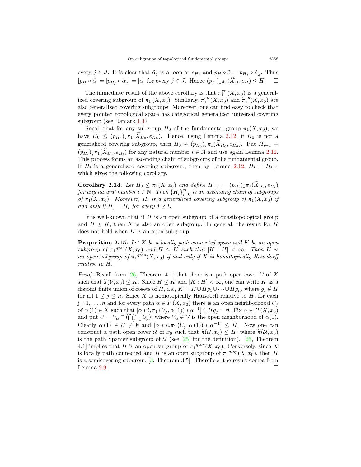every  $j \in J$ . It is clear that  $\tilde{\alpha}_j$  is a loop at  $e_{H_j}$  and  $p_H \circ \tilde{\alpha} = p_{H_j} \circ \tilde{\alpha}_j$ . Thus  $[p_H \circ \tilde{\alpha}] = [p_{H_j} \circ \tilde{\alpha}_j] = [\alpha]$  for every  $j \in J$ . Hence  $(p_H)_* \pi_1(X_H, e_H) \leq H$ .  $\Box$ 

The immediate result of the above corollary is that  $\pi_1^{gc}(X, x_0)$  is a generalized covering subgroup of  $\pi_1(X, x_0)$ . Similarly,  $\pi_1^{sp}(X, x_0)$  and  $\widetilde{\pi}_1^{sp}(X, x_0)$  are also generalized covering subgroups. Moreover, one can find easy to check that every pointed topological space has categorical generalized universal covering subgroup (see Remark [1.4\)](#page-5-1).

Recall that for any subgroup  $H_0$  of the fundamental group  $\pi_1(X, x_0)$ , we have  $H_0 \leq (p_{H_0})_* \pi_1(X_{H_0}, e_{H_0})$ . Hence, using Lemma [2.12,](#page-9-1) if  $H_0$  is not a generalized covering subgroup, then  $H_0 \neq (p_{H_0})_* \pi_1(X_{H_0}, e_{H_0})$ . Put  $H_{i+1} =$  $(p_{H_i})_* \pi_1(X_{H_i}, e_{H_i})$  for any natural number  $i \in \mathbb{N}$  and use again Lemma [2.12](#page-9-1). This process forms an ascending chain of subgroups of the fundamental group. If  $H_i$  is a generalized covering subgroup, then by Lemma [2.12](#page-9-1),  $H_i = H_{i+1}$ which gives the following corollary.

**Corollary 2.14.** Let  $H_0 \leq \pi_1(X, x_0)$  and define  $H_{i+1} = (p_{H_i})_* \pi_1(X_{H_i}, e_{H_i})$  $for\ any\ natural\ number\ i\in\mathbb{N}.\ \ Then\ {H_i\}_{i=0}^\infty\ is\ an\ ascending\ chain\ of\ subgroups$ *of*  $\pi_1(X, x_0)$ *. Moreover,*  $H_i$  *is a generalized covering subgroup of*  $\pi_1(X, x_0)$  *if and only if*  $H_i = H_i$  *for every*  $j \geq i$ *.* 

It is well-known that if *H* is an open subgroup of a quasitopological group and  $H \leq K$ , then K is also an open subgroup. In general, the result for H does not hold when *K* is an open subgroup.

<span id="page-10-0"></span>**Proposition 2.15.** *Let X be a locally path connected space and K be an open subgroup of*  $\pi_1^{qtop}(X, x_0)$  *and*  $H \leq K$  *such that*  $[K : H] < \infty$ *. Then H is an open subgroup of*  $\pi_1^{qtop}(X, x_0)$  *if and only if X is homotopically Hausdorff relative to H.*

*Proof.* Recall from [[26,](#page-22-2) Theorem 4.1] that there is a path open cover  $V$  of X such that  $\tilde{\pi}(V, x_0) \leq K$ . Since  $H \leq K$  and  $[K : H] < \infty$ , one can write K as a disjoint finite union of cosets of *H*, i.e.,  $K = H \cup Hg_1 \cup \cdots \cup Hg_n$ , where  $g_i \notin H$ for all  $1 \leq j \leq n$ . Since *X* is homotopically Hausdorff relative to *H*, for each  $j=1,\ldots,n$  and for every path  $\alpha \in P(X,x_0)$  there is an open neighborhood  $U_j$ of  $\alpha(1) \in X$  such that  $[\alpha * i_* \pi_1(U_j, \alpha(1)) * \alpha^{-1}] \cap Hg_j = \emptyset$ . Fix  $\alpha \in P(X, x_0)$ and put  $U = V_\alpha \cap (\bigcap_{j=1}^n U_j)$ , where  $V_\alpha \in \mathcal{V}$  is the open nieghborhood of  $\alpha(1)$ . Clearly  $\alpha(1) \in U \neq \emptyset$  and  $[\alpha * i_* \pi_1(U_j, \alpha(1)) * \alpha^{-1}] \leq H$ . Now one can construct a path open cover *U* of  $x_0$  such that  $\tilde{\pi}(\mathcal{U}, x_0) \leq H$ , where  $\tilde{\pi}(\mathcal{U}, x_0)$ is the path Spanier subgroup of  $U$  (see [\[25](#page-22-3)] for the definition). [[25,](#page-22-3) Theorem 4.1] implies that *H* is an open subgroup of  $\pi_1^{qtop}(X, x_0)$ . Conversely, since *X* is locally path connected and *H* is an open subgroup of  $\pi_1^{qtop}(X, x_0)$ , then *H* is a semicovering subgroup [[3](#page-21-4), Theorem 3.5]. Therefore, the result comes from Lemma [2.9](#page-8-0).  $\Box$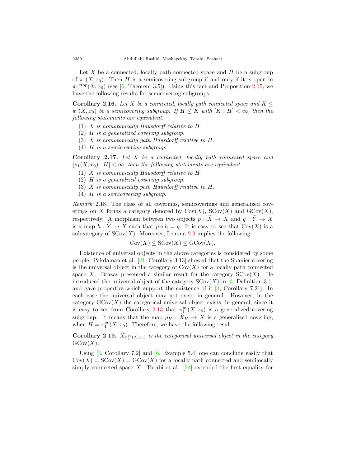Let *X* be a connected, locally path connected space and *H* be a subgroup of  $\pi_1(X, x_0)$ . Then *H* is a semicovering subgroup if and only if it is open in  $\pi_1^{qtop}(X, x_0)$  (see [[5,](#page-21-7) Theorem 3.5]). Using this fact and Proposition [2.15](#page-10-0), we have the following results for semicovering subgroups.

**Corollary 2.16.** *Let X be a connected, locally path connected space and*  $K \leq$  $\pi_1(X, x_0)$  *be a semicovering subgroup. If*  $H \leq K$  *with*  $[K : H] < \infty$ *, then the following statements are equivalent.*

- (1) *X is homotopically Hausdorff relative to H.*
- (2) *H is a generalized covering subgroup.*
- (3) *X is homotopically path Hausdorff relative to H.*
- (4) *H is a semicovering subgroup.*

**Corollary 2.17.** *Let X be a connected, locally path connected space and*  $[\pi_1(X, x_0) : H] < \infty$ , then the following statements are equivalent.

- (1) *X is homotopically Hausdorff relative to H.*
- (2) *H is a generalized covering subgroup.*
- (3) *X is homotopically path Hausdorff relative to H.*
- (4) *H is a semicovering subgroup.*

<span id="page-11-0"></span>*Remark* 2.18*.* The class of all coverings, semicoverings and generalized coverings on *X* forms a category denoted by  $Cov(X)$ ,  $SCov(X)$  and  $GCov(X)$ , respectively. A morphism between two objects  $p : \widetilde{X} \to X$  and  $q : \widetilde{Y} \to X$ is a map  $h: \tilde{Y} \to \tilde{X}$  such that  $p \circ h = q$ . It is easy to see that Cov(*X*) is a subcategory of  $SCov(X)$ . Moreover, Lemma [2.9](#page-8-0) implies the following:

$$
Cov(X) \leq SCov(X) \leq GCov(X).
$$

Existence of universal objects in the above categories is considered by some people. Pakdaman et al. [\[21](#page-22-0), Corollary 3.13] showed that the Spanier covering is the universal object in the category of  $Cov(X)$  for a locally path connected space *X*. Brazas presented a similar result for the category  $SCov(X)$ . He introduced the universal object of the category  $SCov(X)$  in [[3,](#page-21-4) Definition 3.1] and gave properties which support the existence of it [\[3](#page-21-4), Corollary 7.21]. In each case the universal object may not exist, in general. However, in the category  $GCov(X)$  the categorical universal object exists, in general, since it is easy to see from Corollary [2.13](#page-9-0) that  $\pi_1^{gc}(X,x_0)$  is a generalized covering subgroup. It means that the map  $p_H : X_H \to X$  is a generalized covering, when  $H = \pi_1^{gc}(X, x_0)$ . Therefore, we have the following result.

**Corollary 2.19.**  $X_{\pi_1^{gc}(X,x_0)}$  is the categorical universal object in the category  $GCov(X)$ .

Using [\[3](#page-21-4), Corollary 7.2] and [[6,](#page-21-5) Example 5.4] one can conclude easily that  $Cov(X) = SCov(X) = GCov(X)$  for a locally path connected and semilocally simply connected space *X*. Torabi et al.  $[24]$  $[24]$  extended the first equality for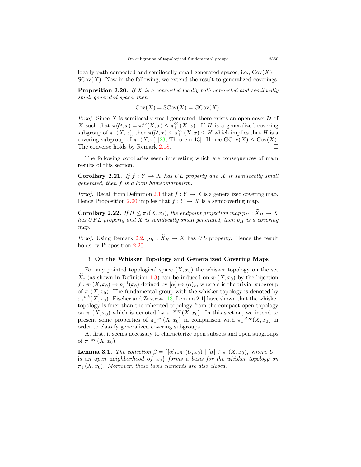locally path connected and semilocally small generated spaces, i.e.,  $Cov(X)$  =  $SCov(X)$ . Now in the following, we extend the result to generalized coverings.

<span id="page-12-1"></span>**Proposition 2.20.** *If X is a connected locally path connected and semilocally small generated space, then*

$$
Cov(X) = SCov(X) = GCov(X).
$$

*Proof.* Since *X* is semilocally small generated, there exists an open cover  $U$  of *X* such that  $\pi(\mathcal{U}, x) = \pi_1^{sg}(X, x) \leq \pi_1^{gc}$  $\int_1^{gc}(X,x)$ . If *H* is a generalized covering subgroup of  $\pi_1(X, x)$ , then  $\pi(\mathcal{U}, x) \leq \pi_1^{gc}$  $_1^{gc}(X, x) \leq H$  which implies that *H* is a covering subgroup of  $\pi_1(X, x)$  [[23,](#page-22-4) Theorem 13]. Hence  $\text{GCov}(X) \leq \text{Cov}(X)$ . The converse holds by Remark [2.18](#page-11-0).  $\Box$ 

The following corollaries seem interesting which are consequences of main results of this section.

**Corollary 2.21.** *If*  $f: Y \to X$  *has*  $UL$  *property and*  $X$  *is semilocally small generated, then f is a local homeomorphism.*

*Proof.* Recall from Definition [2.1](#page-5-2) that  $f: Y \to X$  is a generalized covering map. Hence Proposition [2.20](#page-12-1) implies that  $f: Y \to X$  is a semicovering map.  $\Box$ 

**Corollary 2.22.** *If*  $H \leq \pi_1(X, x_0)$ *, the endpoint projection map*  $p_H : \widetilde{X}_H \to X$ *has UP L property and X is semilocally small generated, then p<sup>H</sup> is a covering map.*

*Proof.* Using Remark [2.2,](#page-6-1)  $p_H : \widetilde{X}_H \to X$  has  $UL$  property. Hence the result holds by Proposition 2.20. holds by Proposition  $2.20$ .

## <span id="page-12-0"></span>3. **On the Whisker Topology and Generalized Covering Maps**

For any pointed topological space  $(X, x_0)$  the whisker topology on the set  $\tilde{X}_e$  (as shown in Definition [1.3\)](#page-4-0) can be induced on  $\pi_1(X, x_0)$  by the bijection  $f: \pi_1(X, x_0) \to p_e^{-1}(x_0)$  defined by  $[\alpha] \mapsto \langle \alpha \rangle_e$ , where *e* is the trivial subgroup of  $\pi_1(X, x_0)$ . The fundamental group with the whisker topology is denoted by  $\pi_1^{wh}(X,x_0)$ . Fischer and Zastrow [\[13](#page-21-0), Lemma 2.1] have shown that the whisker topology is finer than the inherited topology from the compact-open topology on  $\pi_1(X, x_0)$  which is denoted by  $\pi_1^{qtop}(X, x_0)$ . In this section, we intend to present some properties of  $\pi_1^{wh}(X, x_0)$  in comparison with  $\pi_1^{qtop}(X, x_0)$  in order to classify generalized covering subgroups.

At first, it seems necessary to characterize open subsets and open subgroups of  $\pi_1^{wh}(X, x_0)$ .

<span id="page-12-2"></span>**Lemma 3.1.** *The collection*  $\beta = \{[\alpha]i_*\pi_1(U,x_0) \mid [\alpha] \in \pi_1(X,x_0), \text{ where } U\}$ i*s* a*n* o*pen* n*eighborhood* o*f x*0*} forms a basis for the whisker topology on*  $\pi_1(X, x_0)$ *. Moreover, these basis elements are also closed.*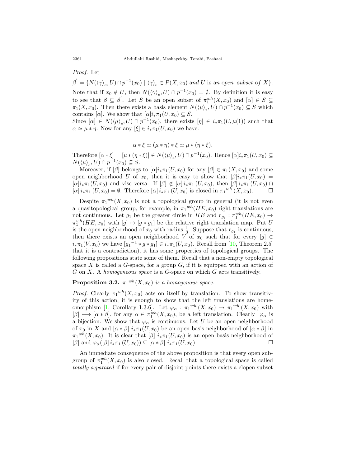*Proof.* Let

 $\beta' = \{N(\langle \gamma \rangle_e, U) \cap p^{-1}(x_0) \mid \langle \gamma \rangle_e \in P(X, x_0) \text{ and } U \text{ is an open subset of } X\}.$ Note that if  $x_0 \notin U$ , then  $N(\langle \gamma \rangle_e, U) \cap p^{-1}(x_0) = \emptyset$ . By definition it is easy to see that  $\beta \subseteq \beta'$ . Let *S* be an open subset of  $\pi_1^{wh}(X, x_0)$  and  $[\alpha] \in S \subseteq$  $\pi_1(X, x_0)$ . Then there exists a basis element  $N(\langle \mu \rangle_e, U) \cap p^{-1}(x_0) \subseteq S$  which contains  $[\alpha]$ . We show that  $[\alpha]i_*\pi_1(U,x_0) \subseteq S$ .

Since  $[\alpha] \in N(\langle \mu \rangle_e, U) \cap p^{-1}(x_0)$ , there exists  $[\eta] \in i_*\pi_1(U, \mu(1))$  such that  $\alpha \simeq \mu * \eta$ . Now for any  $[\xi] \in i_* \pi_1(U, x_0)$  we have:

$$
\alpha * \xi \simeq (\mu * \eta) * \xi \simeq \mu * (\eta * \xi).
$$

Therefore  $[\alpha * \xi] = [\mu * (\eta * \xi)] \in N(\langle \mu \rangle_e, U) \cap p^{-1}(x_0)$ . Hence  $[\alpha]i_* \pi_1(U, x_0) \subseteq$  $N(\langle \mu \rangle_e, U) \cap p^{-1}(x_0) \subseteq S.$ 

Moreover, if  $\beta$  belongs to  $\alpha | i_* \pi_1(U, x_0)$  for any  $\beta | \in \pi_1(X, x_0)$  and some open neighborhood *U* of  $x_0$ , then it is easy to show that  $\beta |i_* \pi_1(U, x_0)|$  $[\alpha]$ *i*<sub>\*</sub> $\pi_1(U, x_0)$  and vise versa. If  $[\beta] \notin [\alpha]$ *i*<sub>\*</sub> $\pi_1(U, x_0)$ , then  $[\beta]$ *i*<sub>\*</sub> $\pi_1(U, x_0)$   $\cap$  $[\alpha]$ *i*<sub>\*</sub> $\pi_1$  (*U, x*<sub>0</sub>) =  $\emptyset$ . Therefore  $[\alpha]$ *i*<sub>\*</sub> $\pi_1$  (*U, x*<sub>0</sub>) is closed in  $\pi_1^{wh}$  (*X, x*<sub>0</sub>). □

Despite  $\pi_1^{wh}(X,x_0)$  is not a topological group in general (it is not even a quasitopological group, for example, in  $\pi_1^{wh}(HE, x_0)$  right translations are not continuous. Let  $g_1$  be the greater circle in  $HE$  and  $r_{g_1} : \pi_1^{wh}(HE, x_0) \rightarrow$  $\pi_1^{wh}(HE, x_0)$  with  $[g] \mapsto [g * g_1]$  be the relative right translation map. Put *U* is the open neighborhood of  $x_0$  with radius  $\frac{1}{3}$ . Suppose that  $r_{g_1}$  is continuous, then there exists an open neighborhood *V* of  $x_0$  such that for every  $[g] \in$ *i*<sup>*∗*</sup>*π*<sub>1</sub>(*V, x*<sub>0</sub>) we have  $[g_1^{-1} * g * g_1] \in i_* \pi_1(U, x_0)$ . Recall from [[10,](#page-21-17) Theorem 2.5] that it is a contradiction), it has some properties of topological groups. The following propositions state some of them. Recall that a non-empty topological space  $X$  is called a  $G$ -space, for a group  $G$ , if it is equipped with an action of *G* on *X*. A *homogeneous space* is a *G*-space on which *G* acts transitively.

## <span id="page-13-0"></span>**Proposition 3.2.**  $\pi_1^{wh}(X, x_0)$  *is a homogenous space.*

*Proof.* Clearly  $\pi_1^{wh}(X, x_0)$  acts on itself by translation. To show transitivity of this action, it is enough to show that the left translations are home-omorphism [\[1](#page-21-9), Corollary 1.3.6]. Let  $\varphi_{\alpha} : \pi_1^{wh}(X, x_0) \to \pi_1^{wh}(X, x_0)$  with  $[\beta] \longmapsto [\alpha * \beta]$ , for any  $\alpha \in \pi_1^{wh}(X, x_0)$ , be a left translation. Clearly  $\varphi_\alpha$  is a bijection. We show that  $\varphi_{\alpha}$  is continuous. Let *U* be an open neighborhood of  $x_0$  in *X* and  $\left[\alpha * \beta\right]$   $i_*\pi_1(U, x_0)$  be an open basis neighborhood of  $\left[\alpha * \beta\right]$  in  $\pi_1^{wh}(X, x_0)$ . It is clear that  $[\beta]$   $i_*\pi_1(U, x_0)$  is an open basis neighborhood of  $[\beta]$  and  $\varphi_{\alpha}([\beta]i_{\ast}\pi_1(U,x_0)) \subseteq [\alpha * \beta]i_{\ast}\pi_1(U,x_0).$ 

An immediate consequence of the above proposition is that every open subgroup of  $\pi_1^{wh}(X, x_0)$  is also closed. Recall that a topological space is called *totally separated* if for every pair of disjoint points there exists a clopen subset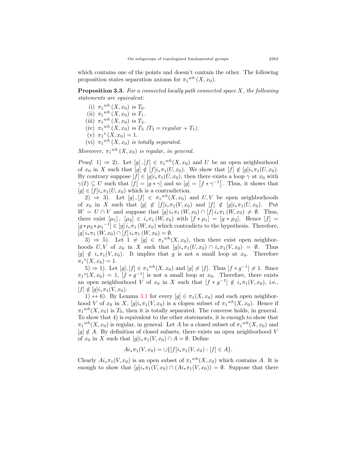which contains one of the points and doesn't contain the other. The following proposition states separation axioms for  $\pi_1^{wh}(X, x_0)$ .

**Proposition 3.3.** *For a connected locally path connected space X, the following statements are equivalent:*

- (i)  $\pi_1^{wh}(X, x_0)$  *is*  $T_0$ *.*
- (ii)  $\pi_1^{wh}(X, x_0)$  *is*  $T_1$ *.*
- (iii)  $\pi_1^{wh}(X, x_0)$  *is*  $T_2$ .
- $(iv)$   $\pi_1^{wh}(X, x_0)$  *is*  $T_3$   $(T_3 = regular + T_1)$ *.*
- (v)  $\pi_1^s(X, x_0) = 1$ .
- (vi)  $\pi_1^{wh}(X, x_0)$  *is totally separated.*

*Moreover,*  $\pi_1^{wh}(X, x_0)$  *is regular, in general.* 

*Proof.* 1)  $\Rightarrow$  2). Let [g], [f]  $\in \pi_1^{wh}(X, x_0)$  and *U* be an open neighborhood of  $x_0$  in  $X$  such that  $[g] \notin [f]i_*\pi_1(U, x_0)$ . We show that  $[f] \notin [g]i_*\pi_1(U, x_0)$ . By contrary suppose  $[f] \in [g]i_*\pi_1(U,x_0)$ , then there exists a loop  $\gamma$  at  $x_0$  with  $\gamma(I) \subseteq U$  such that  $[f] = [g * \gamma]$  and so  $[g] = [f * \gamma^{-1}]$ . Thus, it shows that  $[g] \in [f]i_{\ast} \pi_1(U, x_0)$  which is a contradiction.

2)  $\Rightarrow$  3). Let  $[g], [f] \in \pi_1^{wh}(X, x_0)$  and  $U, V$  be open neighborhoods of  $x_0$  in *X* such that  $[g] \notin [f]i_*\pi_1(V,x_0)$  and  $[f] \notin [g]i_*\pi_1(U,x_0)$ . Put  $W = U \cap V$  and suppose that  $[g] i_* \pi_1(W, x_0) \cap [f] i_* \pi_1(W, x_0) \neq \emptyset$ . Thus, there exist  $[\mu_1], [\mu_2] \in i_* \pi_1 (W, x_0)$  with  $[f * \mu_1] = [g * \mu_2]$ . Hence  $[f] =$  $[g * \mu_2 * \mu_1^{-1}] \in [g] i_* \pi_1 (W, x_0)$  which contradicts to the hypothesis. Therefore,  $[g] i_* \pi_1 (W, x_0) \cap [f] i_* \pi_1 (W, x_0) = \emptyset.$ 

3)  $\Rightarrow$  5). Let  $1 \neq [g] \in \pi_1^{wh}(X, x_0)$ , then there exist open neighborhoods  $U, V$  of  $x_0$  in  $X$  such that  $[g]i_*\pi_1(U, x_0) \cap i_*\pi_1(V, x_0) = \emptyset$ . Thus  $[g] \notin i_*\pi_1(V, x_0)$ . It implies that *g* is not a small loop at  $x_0$ . Therefore  $\pi_1^{s}(X, x_0) = 1.$ 

5) ⇒ 1). Let  $[g], [f] \in \pi_1^{wh}(X, x_0)$  and  $[g] \neq [f]$ . Thus  $[f * g^{-1}] \neq 1$ . Since  $\pi_1^{s}(X, x_0) = 1$ ,  $[f * g^{-1}]$  is not a small loop at  $x_0$ . Therefore, there exists an open neighborhood *V* of  $x_0$  in *X* such that  $[f * g^{-1}] \notin i_* \pi_1(V, x_0)$ , i.e.,  $[f] \notin [g]i_{*}\pi_{1}(V, x_{0}).$ 

1)  $\leftrightarrow$  6). By Lemma [3.1](#page-12-2) for every  $[q] \in \pi_1(X, x_0)$  and each open neighborhood *V* of  $x_0$  in *X*,  $[g]i_*\pi_1(V, x_0)$  is a clopen subset of  $\pi_1^{wh}(X, x_0)$ . Hence if  $\pi_1^{wh}(X,x_0)$  is  $T_0$ , then it is totally separated. The converse holds, in general. To show that 4) is equivalent to the other statements, it is enough to show that  $\pi_1^{wh}(X, x_0)$  is regular, in general. Let *A* be a closed subset of  $\pi_1^{wh}(X, x_0)$  and  $[q] \notin A$ . By definition of closed subsets, there exists an open neighborhood *V* of  $x_0$  in  $X$  such that  $[g]i_*\pi_1(V, x_0) \cap A = \emptyset$ . Define

$$
Ai_*\pi_1(V, x_0) = \cup \{ [f] i_*\pi_1(V, x_0) : [f] \in A \}.
$$

Clearly  $Ai_*\pi_1(V, x_0)$  is an open subset of  $\pi_1^{wh}(X, x_0)$  which contains *A*. It is enough to show that  $[q]$ *i*<sub>*\**</sub> $\pi_1(V, x_0) \cap (Ai_* \pi_1(V, x_0)) = \emptyset$ . Suppose that there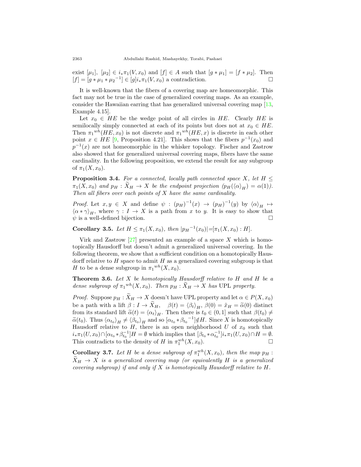exist  $[\mu_1]$ ,  $[\mu_2] \in i_*\pi_1(V, x_0)$  and  $[f] \in A$  such that  $[g * \mu_1] = [f * \mu_2]$ . Then  $[f] = [g * \mu_1 * \mu_2^{-1}] \in [g] i_*\pi_1(V, x_0)$  a contradiction.  $[f] = [g * \mu_1 * \mu_2^{-1}] \in [g]i_* \pi_1(V, x_0)$  a contradiction. □

It is well-known that the fibers of a covering map are homeomorphic. This fact may not be true in the case of generalized covering maps. As an example, consider the Hawaiian earring that has generalized universal covering map [\[13](#page-21-0), Example 4.15].

Let  $x_0 \in HE$  be the wedge point of all circles in  $HE$ . Clearly  $HE$  is semilocally simply connected at each of its points but does not at  $x_0 \in HE$ . Then  $\pi_1^{wh}(HE, x_0)$  is not discrete and  $\pi_1^{wh}(HE, x)$  is discrete in each other point  $x \in HE$  [\[9](#page-21-8), Proposition 4.21]. This shows that the fibers  $p^{-1}(x_0)$  and  $p^{-1}(x)$  are not homeomorphic in the whisker topology. Fischer and Zastrow also showed that for generalized universal covering maps, fibers have the same cardinality. In the following proposition, we extend the result for any subgroup of  $\pi_1(X, x_0)$ .

<span id="page-15-0"></span>**Proposition 3.4.** *For a connected, locally path connected space X, let*  $H \leq$  $\pi_1(X, x_0)$  *and*  $p_H : \tilde{X}_H \to X$  *be the endpoint projection*  $(p_H(\langle \alpha \rangle_H) = \alpha(1))$ *. Then all fibers over each points of X have the same cardinality.*

*Proof.* Let  $x, y \in X$  and define  $\psi : (p_H)^{-1}(x) \to (p_H)^{-1}(y)$  by  $\langle \alpha \rangle_H \mapsto$  $\langle \alpha * \gamma \rangle_H$ , where  $\gamma : I \to X$  is a path from *x* to *y*. It is easy to show that  $\psi$  is a well-defined bijection.

**Corollary 3.5.** *Let*  $H \leq \pi_1(X, x_0)$ *, then*  $|p_H^{-1}(x_0)| = [\pi_1(X, x_0) : H]$ *.* 

Virk and Zastrow [[27\]](#page-22-6) presented an example of a space *X* which is homotopically Hausdorff but doesn't admit a generalized universal covering. In the following theorem, we show that a sufficient condition on a homotopically Hausdorff relative to *H* space to admit *H* as a generalized covering subgroup is that *H* to be a dense subgroup in  $\pi_1^{wh}(X, x_0)$ .

**Theorem 3.6.** *Let X be homotopically Hausdorff relative to H and H be a dense subgroup of*  $\pi_1^{wh}(X, x_0)$ *. Then*  $p_H : \widetilde{X}_H \to X$  *has* UPL *property.* 

*Proof.* Suppose  $p_H : \widetilde{X}_H \to X$  doesn't have UPL property and let  $\alpha \in P(X, x_0)$ be a path with a lift  $\beta: I \to \tilde{X}_H$ ,  $\beta(t) = \langle \beta_t \rangle_H$ ,  $\beta(0) = \tilde{x}_H = \tilde{\alpha}(0)$  distinct from its standard lift  $\tilde{\alpha}(t) = \langle \alpha_t \rangle_H$ . Then there is  $t_0 \in (0,1]$  such that  $\beta(t_0) \neq$  $\widetilde{\alpha}(t_0)$ . Thus  $\langle \alpha_{t_0} \rangle_H \neq \langle \beta_{t_0} \rangle_H$  and so  $[\alpha_{t_0} * \beta_{t_0}^{-1}] \notin H$ . Since X is homotopically Hausdorff relative to  $H$ , there is an open neighborhood  $U$  of  $x_0$  such that  $i_*\pi_1(U, x_0) \cap [\alpha_{t_0} * \beta_{t_0}^{-1}]H = \emptyset$  which implies that  $[\beta_{t_0} * \alpha_{t_0}^{-1}]i_*\pi_1(U, x_0) \cap H = \emptyset$ . This contradicts to the density of *H* in  $\pi_1^{wh}(X, x_0)$ . □

**Corollary 3.7.** Let H be a dense subgroup of  $\pi_1^{wh}(X, x_0)$ , then the map  $p_H$ :  $\widetilde{X}_H \rightarrow X$  *is a generalized covering map (or equivalently H is a generalized covering subgroup) if and only if X is homotopically Hausdorff relative to H.*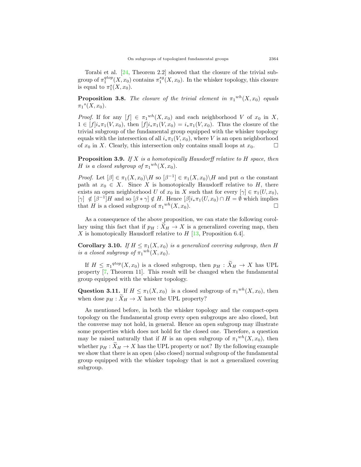Torabi et al. [[24,](#page-22-5) Theorem 2.2] showed that the closure of the trivial subgroup of  $\pi_1^{qtop}(X, x_0)$  contains  $\pi_1^{sg}(X, x_0)$ . In the whisker topology, this closure is equal to  $\pi_1^s(X, x_0)$ .

**Proposition 3.8.** *The closure of the trivial element in*  $\pi_1^{wh}(X, x_0)$  *equals*  $\pi_1^{s}(X, x_0)$ .

*Proof.* If for any  $[f] \in \pi_1^{wh}(X, x_0)$  and each neighborhood *V* of  $x_0$  in  $X$ ,  $1 \in [f]i_*\pi_1(V, x_0)$ , then  $[f]i_*\pi_1(V, x_0) = i_*\pi_1(V, x_0)$ . Thus the closure of the trivial subgroup of the fundamental group equipped with the whisker topology equals with the intersection of all  $i_* \pi_1(V, x_0)$ , where *V* is an open neighborhood of  $x_0$  in *X*. Clearly this intersection only contains small loops at  $x_0$ of  $x_0$  in *X*. Clearly, this intersection only contains small loops at  $x_0$ .

**Proposition 3.9.** *If X is a homotopically Hausdorff relative to H space, then H is a closed subgroup of*  $\pi_1^{wh}(X, x_0)$ *.* 

*Proof.* Let  $[\beta] \in \pi_1(X, x_0) \backslash H$  so  $[\beta^{-1}] \in \pi_1(X, x_0) \backslash H$  and put  $\alpha$  the constant path at  $x_0 \in X$ . Since *X* is homotopically Hausdorff relative to *H*, there exists an open neighborhood *U* of  $x_0$  in *X* such that for every  $[\gamma] \in \pi_1(U, x_0)$ ,  $[\gamma] \notin [\beta^{-1}]H$  and so  $[\beta * \gamma] \notin H$ . Hence  $[\beta]i_* \pi_1(U, x_0) \cap H = \emptyset$  which implies that *H* is a closed subgroup of  $\pi_1^{wh}(X, x_0)$ .

As a consequence of the above proposition, we can state the following corollary using this fact that if  $p_H : \tilde{X}_H \to X$  is a generalized covering map, then *X* is homotopically Hausdorff relative to *H* [\[13](#page-21-0), Proposition 6.4].

**Corollary 3.10.** *If*  $H \leq \pi_1(X, x_0)$  *is a generalized covering subgroup, then H is a closed subgroup of*  $\pi_1^{wh}(X, x_0)$ *.* 

If  $H \leq \pi_1^{qtop}(X, x_0)$  is a closed subgroup, then  $p_H : \widetilde{X}_H \to X$  has UPL property [[7,](#page-21-10) Theorem 11]. This result will be changed when the fundamental group equipped with the whisker topology.

Question 3.11. If  $H \leq \pi_1(X, x_0)$  is a closed subgroup of  $\pi_1^{wh}(X, x_0)$ , then when dose  $p_H : \widetilde{X}_H \to X$  have the UPL property?

As mentioned before, in both the whisker topology and the compact-open topology on the fundamental group every open subgroups are also closed, but the converse may not hold, in general. Hence an open subgroup may illustrate some properties which does not hold for the closed one. Therefore, a question may be raised naturally that if *H* is an open subgroup of  $\pi_1^{wh}(X, x_0)$ , then whether  $p_H : \tilde{X}_H \to X$  has the UPL property or not? By the following example we show that there is an open (also closed) normal subgroup of the fundamental group equipped with the whisker topology that is not a generalized covering subgroup.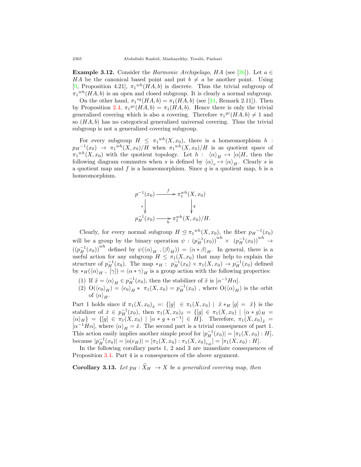**Example 3.12.** Consider the *Harmonic Archipelago*, *HA* (see [\[26](#page-22-2)]). Let  $a \in \mathbb{R}$ *HA* be the canonical based point and put  $b \neq a$  be another point. Using [[9,](#page-21-8) Proposition 4.21],  $\pi_1^{wh}(HA, b)$  is discrete. Thus the trivial subgroup of  $\pi_1^{wh}(HA, b)$  is an open and closed subgroup. It is clearly a normal subgroup.

On the other hand,  $\pi_1^{sg}(HA, b) = \pi_1(HA, b)$  (see [[24,](#page-22-5) Remark 2.11]). Then by Proposition [2.4](#page-6-0),  $\pi_1^{gc}(HA, b) = \pi_1(HA, b)$ . Hence there is only the trivial generalized covering which is also a covering. Therefore  $\pi_1^{gc}(HA, b) \neq 1$  and so (*HA, b*) has no categorical generalized universal covering. Thus the trivial subgroup is not a generalized covering subgroup.

For every subgroup  $H \leq \pi_1^{wh}(X, x_0)$ , there is a homeomorphism  $h$ :  $p_H^{-1}(x_0) \rightarrow \pi_1^{wh}(X,x_0)/H$  when  $\pi_1^{wh}(X,x_0)/H$  is as quotient space of  $\pi_1^{wh}(X, x_0)$  with the quotient topology. Let  $h : \langle \alpha \rangle_H \mapsto [\alpha]H$ , then the following diagram commutes when *s* is defined by  $\langle \alpha \rangle_e \mapsto \langle \alpha \rangle_H$ . Clearly *s* is a quotient map and *f* is a homeomorphism. Since *q* is a quotient map, *h* is a homeomorphism.

$$
p^{-1}(x_0) \xrightarrow{f} \pi_1^{wh}(X, x_0)
$$
  

$$
s \downarrow \qquad \qquad \downarrow q
$$
  

$$
p_H^{-1}(x_0) \xrightarrow{h} \pi_1^{wh}(X, x_0)/H.
$$

Clearly, for every normal subgroup  $H \leq \pi_1^{wh}(X, x_0)$ , the fiber  $p_H^{-1}(x_0)$ will be a group by the binary operation  $\psi : (p_H^{-1}(x_0))^{wh} \times (p_H^{-1}(x_0))^{wh} \to$  $((p<sub>H</sub><sup>-1</sup>(x<sub>0</sub>))<sup>wh</sup>$  defined by  $\psi(\langle \alpha \rangle_H, \langle \beta \rangle_H) = \langle \alpha * \beta \rangle_H$ . In general, there is a useful action for any subgroup  $H \leq \pi_1(X, x_0)$  that may help to explain the structure of  $p_H^{-1}(x_0)$ . The map  $*_H: p_H^{-1}(x_0) \times \pi_1(X, x_0) \to p_H^{-1}(x_0)$  defined by  $*_H(\langle \alpha \rangle_H, [\gamma] ) = \langle \alpha * \gamma \rangle_H$  is a group action with the following properties:

- (1) If  $\tilde{x} = \langle \alpha \rangle_H \in p_H^{-1}(x_0)$ , then the stabilizer of  $\tilde{x}$  is  $[\alpha^{-1}H\alpha]$ .
- (2)  $O(\langle e_0 \rangle_H) = \langle e_0 \rangle_H * \pi_1(X, x_0) = p_H^{-1}(x_0)$ , where  $O(\langle \alpha \rangle_H)$  is the orbit of  $\langle \alpha \rangle$ <sub>*H*</sub>.

Part 1 holds since if  $\pi_1(X, x_0)_{\tilde{x}} =: \{ [g] \in \pi_1(X, x_0) \mid \tilde{x} *_{H} [g] = \tilde{x} \}$  is the stabilizer of  $\tilde{x} \in p_H^{-1}(x_0)$ , then  $\pi_1(X, x_0)_{\tilde{x}} = \{[g] \in \pi_1(X, x_0) \mid \langle \alpha * g \rangle_H =$  $\langle \alpha \rangle_H$ } = {[g]  $\in \pi_1(X, x_0) \mid [\alpha * g * \alpha^{-1}] \in H$ }. Therefore,  $\pi_1(X, x_0)_{\tilde{x}}$  =  $\left[\alpha^{-1}H\alpha\right]$ , where  $\left\langle \alpha\right\rangle_H = \tilde{x}$ . The second part is a trivial consequence of part 1. This action easily implies another simple proof for  $|p_H^{-1}(x_0)| = [\pi_1(X, x_0) : H]$ , because  $|p_H^{-1}(x_0)| = |o(e_H)| = [\pi_1(X, x_0) : \pi_1(X, x_0)_{e_H}] = [\pi_1(X, x_0) : H].$ 

In the following corollary parts 1, 2 and 3 are immediate consequences of Proposition [3.4](#page-15-0). Part 4 is a consequences of the above argument.

**Corollary 3.13.** Let  $p_H : \widetilde{X}_H \to X$  be a generalized covering map, then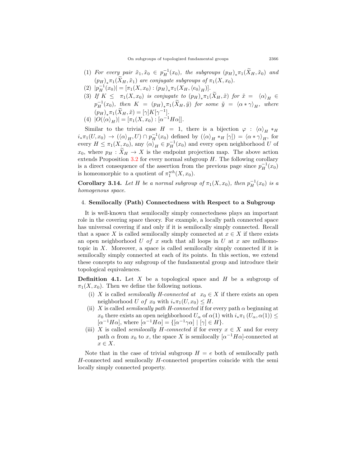- (1) *For every pair*  $\tilde{x}_1, \tilde{x}_0 \in p_H^{-1}(x_0)$ , the subgroups  $(p_H)_*\pi_1(\tilde{X}_H, \tilde{x}_0)$  and  $(p_H)_{*} \pi_1(X_H, \tilde{x}_1)$  are conjugate subgroups of  $\pi_1(X, x_0)$ .
- $(P_H^{-1}(x_0)) = [\pi_1(X, x_0) : (p_H)_*\pi_1(X_H, \langle e_0 \rangle_H)].$
- (3) If  $K \leq \pi_1(X, x_0)$  is conjugate to  $(p_H)_*\pi_1(X_H, \tilde{x})$  for  $\tilde{x} = \langle \alpha \rangle_H \in$  $p_H^{-1}(x_0)$ , then  $K = (p_H)_*\pi_1(\widetilde{X}_H, \widetilde{y})$  for some  $\widetilde{y} = \langle \alpha * \gamma \rangle_H$ , where  $(p_H)_*\pi_1(\tilde{X}_H, \tilde{x}) = [\gamma]K[\gamma^{-1}].$
- $(4) |O(\langle \alpha \rangle_H)| = [\pi_1(X, x_0) : [\alpha^{-1}H\alpha]].$

Similar to the trivial case  $H = 1$ , there is a bijection  $\varphi : \langle \alpha \rangle_H * H$  $i_*\pi_1(U,x_0) \to (\langle \alpha \rangle_H, U) \cap p_H^{-1}(x_0)$  defined by  $(\langle \alpha \rangle_H *_H [\gamma]) = \langle \alpha * \gamma \rangle_H$ , for every  $H \leq \pi_1(X, x_0)$ , any  $\langle \alpha \rangle_H \in p_H^{-1}(x_0)$  and every open neighborhood *U* of  $x_0$ , where  $p_H : \tilde{X}_H \to X$  is the endpoint projection map. The above action extends Proposition [3.2](#page-13-0) for every normal subgroup *H*. The following corollary is a direct consequence of the assertion from the previous page since  $p_H^{-1}(x_0)$ is homeomorphic to a quotient of  $\pi_1^{wh}(X, x_0)$ .

**Corollary 3.14.** Let *H* be a normal subgroup of  $\pi_1(X, x_0)$ , then  $p_H^{-1}(x_0)$  is a *homogenous space.*

### <span id="page-18-0"></span>4. **Semilocally (Path) Connectedness with Respect to a Subgroup**

It is well-known that semilocally simply connectedness plays an important role in the covering space theory. For example, a locally path connected space has universal covering if and only if it is semilocally simply connected. Recall that a space *X* is called semilocally simply connected at  $x \in X$  if there exists an open neighborhood *U of x* such that all loops in *U* at *x* are nullhomotopic in  $X$ . Moreover, a space is called semilocally simply connected if it is semilocally simply connected at each of its points. In this section, we extend these concepts to any subgroup of the fundamental group and introduce their topological equivalences.

**Definition 4.1.** Let *X* be a topological space and *H* be a subgroup of  $\pi_1(X, x_0)$ . Then we define the following notions.

- (i) *X* is called *semilocally H-connected at*  $x_0 \in X$  if there exists an open neighborhood *U of*  $x_0$  with  $i_*\pi_1(U, x_0) \leq H$ .
- (ii) *X* is called *semilocally path H-connected* if for every path  $\alpha$  beginning at *x*<sub>0</sub> there exists an open neighborhood  $U_{\alpha}$  of  $\alpha(1)$  with  $i_{*}\pi_{1}(U_{\alpha}, \alpha(1)) \leq$  $[\alpha^{-1}H\alpha]$ , where  $[\alpha^{-1}H\alpha] = \{[\alpha^{-1}\gamma\alpha] \mid [\gamma] \in H\}$ .
- (iii) *X* is called *semilocally H*-connected if for every  $x \in X$  and for every path  $\alpha$  from  $x_0$  to  $x$ , the space  $X$  is semilocally  $\left[\alpha^{-1}H\alpha\right]$ -connected at *x ∈ X*.

Note that in the case of trivial subgroup  $H = e$  both of semilocally path *H*-connected and semilocally *H*-connected properties coincide with the semi locally simply connected property.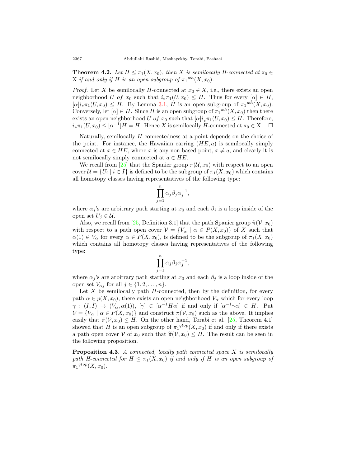**Theorem 4.2.** *Let*  $H \leq \pi_1(X, x_0)$ *, then X is semilocally H-connected at*  $x_0 \in$ X if and only if H is an open subgroup of  $\pi_1^{wh}(X, x_0)$ .

*Proof.* Let *X* be semilocally *H*-connected at  $x_0 \in X$ , i.e., there exists an open neighborhood *U of*  $x_0$  such that  $i_*\pi_1(U, x_0) \leq H$ . Thus for every  $[\alpha] \in H$ ,  $[\alpha]$ *i*<sub>\*</sub> $\pi_1(U, x_0) \leq H$ . By Lemma [3.1,](#page-12-2) *H* is an open subgroup of  $\pi_1^{wh}(X, x_0)$ . Conversely, let  $[\alpha] \in H$ . Since *H* is an open subgroup of  $\pi_1^{wh}(X, x_0)$  then there exists an open neighborhood *U of x*<sub>0</sub> such that  $[\alpha]$ *i*<sub>*\**</sub> $\pi_1(U, x_0) \leq H$ . Therefore,  $i_*\pi_1(U, x_0) \leq [\alpha^{-1}]H = H$ . Hence *X* is semilocally *H*-connected at  $x_0 \in X$ . □

Naturally, semilocally *H*-connectedness at a point depends on the choice of the point. For instance, the Hawaiian earring  $(HE, a)$  is semilocally simply connected at  $x \in HE$ , where *x* is any non-based point,  $x \neq a$ , and clearly it is not semilocally simply connected at  $a \in HE$ .

We recall from [\[25](#page-22-3)] that the Spanier group  $\pi(\mathcal{U}, x_0)$  with respect to an open cover  $\mathcal{U} = \{U_i \mid i \in I\}$  is defined to be the subgroup of  $\pi_1(X, x_0)$  which contains all homotopy classes having representatives of the following type:

$$
\prod_{j=1}^n \alpha_j \beta_j \alpha_j^{-1},
$$

where  $\alpha_j$ 's are arbitrary path starting at  $x_0$  and each  $\beta_j$  is a loop inside of the open set  $U_j \in \mathcal{U}$ .

Also, we recall from [\[25](#page-22-3), Definition 3.1] that the path Spanier group  $\tilde{\pi}(\mathcal{V}, x_0)$ with respect to a path open cover  $V = \{V_\alpha \mid \alpha \in P(X, x_0)\}\$  of X such that  $\alpha(1) \in V_\alpha$  for every  $\alpha \in P(X, x_0)$ , is defined to be the subgroup of  $\pi_1(X, x_0)$ which contains all homotopy classes having representatives of the following type:

$$
\prod_{j=1}^n \alpha_j \beta_j \alpha_j^{-1},
$$

where  $\alpha_j$ 's are arbitrary path starting at  $x_0$  and each  $\beta_j$  is a loop inside of the open set  $V_{\alpha_j}$  for all  $j \in \{1, 2, \ldots, n\}$ .

Let  $X$  be semilocally path  $H$ -connected, then by the definition, for every path  $\alpha \in p(X, x_0)$ , there exists an open neighborhood  $V_\alpha$  which for every loop  $\gamma : (I, I) \rightarrow (V_\alpha, \alpha(1)), [\gamma] \in [\alpha^{-1}H\alpha]$  if and only if  $[\alpha^{-1}\gamma\alpha] \in H$ . Put  $V = \{V_\alpha \mid \alpha \in P(X, x_0)\}\$ and construct  $\tilde{\pi}(V, x_0)$  such as the above. It implies easily that  $\tilde{\pi}(V, x_0) \leq H$ . On the other hand, Torabi et al. [[25](#page-22-3), Theorem 4.1] showed that *H* is an open subgroup of  $\pi_1^{qtop}(X, x_0)$  if and only if there exists a path open cover *V* of  $x_0$  such that  $\tilde{\pi}(V, x_0) \leq H$ . The result can be seen in the following proposition.

<span id="page-19-0"></span>**Proposition 4.3.** *A connected, locally path connected space X is semilocally path H-connected for*  $H \leq \pi_1(X, x_0)$  *if and only if H is an open subgroup of*  $\pi_1^{qtop}(X, x_0)$ .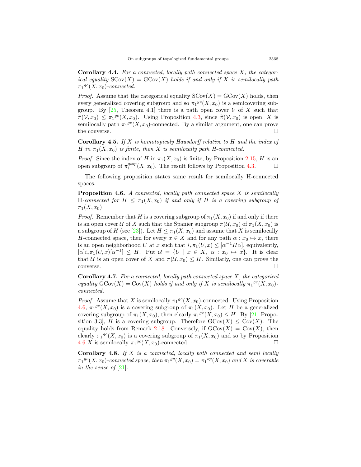**Corollary 4.4.** *For a connected, locally path connected space X, the categorical equality*  $SCov(X) = GCov(X)$  *holds if and only if* X *is semilocally path*  $\pi_1^{gc}(X, x_0)$ -connected.

*Proof.* Assume that the categorical equality  $SCov(X) = GCov(X)$  holds, then every generalized covering subgroup and so  $\pi_1^{gc}(X, x_0)$  is a semicovering subgroup. By  $[25,$  $[25,$  $[25,$  Theorem 4.1 there is a path open cover *V* of *X* such that  $\widetilde{\pi}(\mathcal{V}, x_0) \leq \pi_1^{gc}(X, x_0)$ . Using Proposition [4.3](#page-19-0), since  $\widetilde{\pi}(\mathcal{V}, x_0)$  is open, *X* is semilocally path  $\pi_1^{gc}(X, x_0)$ -connected. By a similar argument, one can prove the converse.  $\Box$ 

**Corollary 4.5.** *If X is homotopicaly Hausdorff relative to H and the index of H* in  $\pi_1(X, x_0)$  *is finite, then X is semilocally path H-connected.* 

*Proof.* Since the index of *H* in  $\pi_1(X, x_0)$  is finite, by Proposition [2.15,](#page-10-0) *H* is an open subgroup of  $\pi_1^{qtop}(X, x_0)$ . The result follows by Proposition [4.3](#page-19-0). □

The following proposition states same result for semilocally H-connected spaces.

<span id="page-20-0"></span>**Proposition 4.6.** *A connected, locally path connected space X is semilocally* H-connected for  $H \leq \pi_1(X, x_0)$  if and only if H is a covering subgroup of  $\pi_1(X, x_0)$ .

*Proof.* Remember that *H* is a covering subgroup of  $\pi_1(X, x_0)$  if and only if there is an open cover *U* of *X* such that the Spanier subgroup  $\pi(\mathcal{U}, x_0)$  of  $\pi_1(X, x_0)$  is a subgroup of *H* (see [\[23](#page-22-4)]). Let  $H \leq \pi_1(X, x_0)$  and assume that *X* is semilocally *H*-connected space, then for every  $x \in X$  and for any path  $\alpha : x_0 \mapsto x$ , there is an open neighborhood *U* at *x* such that  $i_* \pi_1(U, x) \leq [\alpha^{-1} H \alpha]$ , equivalently,  $[\alpha]$ *i*<sub>\*</sub> $\pi_1(U, x)[\alpha^{-1}] \leq H$ . Put  $\mathcal{U} = \{U \mid x \in X, \alpha : x_0 \mapsto x\}$ . It is clear that *U* is an open cover of *X* and  $\pi(\mathcal{U}, x_0) \leq H$ . Similarly, one can prove the converse.  $\Box$ 

**Corollary 4.7.** *For a connected, locally path connected space X, the categorical equality*  $G\text{Cov}(X) = \text{Cov}(X)$  *holds if and only if X is semilocally*  $\pi_1^{gc}(X, x_0)$ *connected.*

*Proof.* Assume that *X* is semilocally  $\pi_1{}^{gc}(X, x_0)$ -connected. Using Proposition [4.6,](#page-20-0)  $\pi_1^{gc}(X, x_0)$  is a covering subgroup of  $\pi_1(X, x_0)$ . Let H be a generalized covering subgroup of  $\pi_1(X, x_0)$ , then clearly  $\pi_1^{gc}(X, x_0) \leq H$ . By [\[21](#page-22-0), Proposition 3.3], *H* is a covering subgroup. Therefore  $GCov(X) \leq Cov(X)$ . The equality holds from Remark [2.18.](#page-11-0) Conversely, if  $GCov(X) = Cov(X)$ , then clearly  $\pi_1^{gc}(X, x_0)$  is a covering subgroup of  $\pi_1(X, x_0)$  and so by Proposition [4.6](#page-20-0) *X* is semilocally  $\pi_1^{gc}(X, x_0)$ -connected.  $\square$ 

**Corollary 4.8.** *If X is a connected, locally path connected and semi locally*  $\pi_1^{gc}(X, x_0)$ -connected space, then  $\pi_1^{gc}(X, x_0) = \pi_1^{sp}(X, x_0)$  and X is coverable *in the sense of* [[21\]](#page-22-0)*.*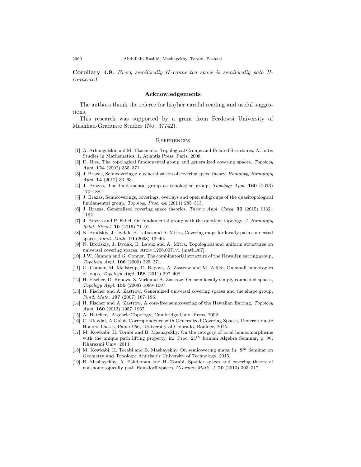**Corollary 4.9.** *Every semilocally H-connected space is semilocally path Hconnected.*

#### **Acknowledgements**

The authors thank the referee for his/her careful reading and useful suggestions.

This research was supported by a grant from Ferdowsi University of Mashhad-Graduate Studies (No. 37742).

#### **REFERENCES**

- <span id="page-21-9"></span>[1] A. Arhangelskii and M. Tkachenko, Topological Groups and Related Structures, Atlantis Studies in Mathematics, 1, Atlantis Press, Paris, 2008.
- <span id="page-21-3"></span>[2] D. Biss, The topological fundamental group and generalized covering spaces, *Topology Appl.* **124** (2002) 355–371.
- <span id="page-21-4"></span>[3] J. Brazas, Semicoverings: a generalization of covering space theory, *Homology Homotopy Appl.* **14** (2012) 33–63.
- <span id="page-21-6"></span>[4] J. Brazas, The fundamental group as topological group, *Topology Appl.* **160** (2013) 170–188.
- <span id="page-21-7"></span>[5] J. Brazas, Semicoverings, coverings, overlays and open subgroups of the quasitopological fundamental group, *Topology Proc.* **44** (2014) 285–313.
- <span id="page-21-5"></span>[6] J. Brazas, Generalized covering space theories, *Theory Appl. Categ.* **30** (2015) 1132– 1162.
- <span id="page-21-10"></span>[7] J. Brazas and P. Fabel, On fundamental group with the quotient topology, *J. Homotopy Relat. Struct.* **10** (2015) 71–91.
- <span id="page-21-16"></span>[8] N. Brodskiy, J. Dydak, B. Labuz and A. Mitra, Covering maps for locally path connected spaces, *Fund. Math.* **10** (2008) 13–46.
- <span id="page-21-8"></span>[9] N. Brodskiy, J. Dydak, B. Labuz and A. Mitra, Topological and uniform structures on universal covering spaces, Arxiv:1206.0071v1 [math.AT].
- <span id="page-21-17"></span>[10] J.W. Cannon and G. Conner, The combinatorial structure of the Hawaiian earring group, *Topology Appl.* **106** (2000) 225–271.
- <span id="page-21-11"></span>[11] G. Conner, M. Meilstrup, D. Repovs, A. Zastrow and M. Zeljko, On small homotopies of loops, *Topology Appl.* **158** (2011) 397–408.
- <span id="page-21-2"></span>[12] H. Fischer, D. Repovs, Z. Virk and A. Zastrow, On semilocally simply connected spaces, *Topology Appl.* **155** (2008) 1089–1097.
- <span id="page-21-0"></span>[13] H. Fischer and A. Zastrow, Generalized universal covering spaces and the shape group, *Fund. Math.* **197** (2007) 167–196.
- <span id="page-21-15"></span>[14] H. Fischer and A. Zastrow, A core-free semicovering of the Hawaiian Earring, *Topology Appl.* **160** (2013) 1957–1967.
- [15] A. Hatcher, Algebric Topology, Cambridge Univ. Press, 2002.
- <span id="page-21-13"></span>[16] C. Klevdal, A Galois Correspondence with Generalized Covering Spaces, Undergraduate Honors Theses, Paper 956, University of Colorado, Boulder, 2015.
- <span id="page-21-14"></span>[17] M. Kowkabi, H. Torabi and B. Mashayekhy, On the category of local homeomorphisms with the unique path lifting property, in: Proc. 24*th* Iranian Algebra Seminar, p. 96, Kharazmi Univ. 2014.
- <span id="page-21-12"></span>[18] M. Kowkabi, H. Torabi and B. Mashayekhy, On semicovering maps, in: 8*th* Seminar on Geometry and Topology, Amirkabir University of Technology, 2015.
- <span id="page-21-1"></span>[19] B. Mashayekhy, A. Pakdaman and H. Torabi, Spanier spaces and covering theory of non-homotopically path Hausdorff spaces, *Georgian Math. J.* **20** (2013) 303–317.